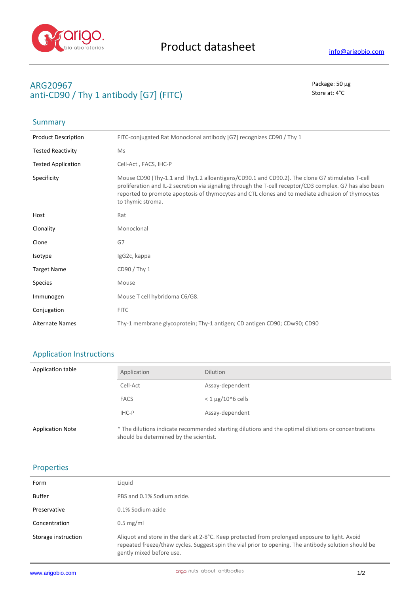

**Summary** 

# **ARG20967** Package: 50 μg **anti-CD90 / Thy 1 antibody [G7] (FITC)** Store at: 4°C

| <b>Product Description</b> | FITC-conjugated Rat Monoclonal antibody [G7] recognizes CD90 / Thy 1                                                                                                                                                                                                                                                                |
|----------------------------|-------------------------------------------------------------------------------------------------------------------------------------------------------------------------------------------------------------------------------------------------------------------------------------------------------------------------------------|
| <b>Tested Reactivity</b>   | Ms                                                                                                                                                                                                                                                                                                                                  |
| <b>Tested Application</b>  | Cell-Act, FACS, IHC-P                                                                                                                                                                                                                                                                                                               |
| Specificity                | Mouse CD90 (Thy-1.1 and Thy1.2 alloantigens/CD90.1 and CD90.2). The clone G7 stimulates T-cell<br>proliferation and IL-2 secretion via signaling through the T-cell receptor/CD3 complex. G7 has also been<br>reported to promote apoptosis of thymocytes and CTL clones and to mediate adhesion of thymocytes<br>to thymic stroma. |
| Host                       | Rat                                                                                                                                                                                                                                                                                                                                 |
| Clonality                  | Monoclonal                                                                                                                                                                                                                                                                                                                          |
| Clone                      | G7                                                                                                                                                                                                                                                                                                                                  |
| Isotype                    | IgG2c, kappa                                                                                                                                                                                                                                                                                                                        |
| <b>Target Name</b>         | CD90 / Thy 1                                                                                                                                                                                                                                                                                                                        |
| <b>Species</b>             | Mouse                                                                                                                                                                                                                                                                                                                               |
| Immunogen                  | Mouse T cell hybridoma C6/G8.                                                                                                                                                                                                                                                                                                       |
| Conjugation                | <b>FITC</b>                                                                                                                                                                                                                                                                                                                         |
| <b>Alternate Names</b>     | Thy-1 membrane glycoprotein; Thy-1 antigen; CD antigen CD90; CDw90; CD90                                                                                                                                                                                                                                                            |

# Application Instructions

| Application table       | Application                            | <b>Dilution</b>                                                                                     |
|-------------------------|----------------------------------------|-----------------------------------------------------------------------------------------------------|
|                         | Cell-Act                               | Assay-dependent                                                                                     |
|                         | FACS                                   | $<$ 1 $\mu$ g/10^6 cells                                                                            |
|                         | IHC-P                                  | Assay-dependent                                                                                     |
| <b>Application Note</b> | should be determined by the scientist. | * The dilutions indicate recommended starting dilutions and the optimal dilutions or concentrations |

### Properties

| Form                | Liquid                                                                                                                                                                                                                             |
|---------------------|------------------------------------------------------------------------------------------------------------------------------------------------------------------------------------------------------------------------------------|
| Buffer              | PBS and 0.1% Sodium azide.                                                                                                                                                                                                         |
| Preservative        | 0.1% Sodium azide                                                                                                                                                                                                                  |
| Concentration       | $0.5 \text{ mg/ml}$                                                                                                                                                                                                                |
| Storage instruction | Aliquot and store in the dark at 2-8°C. Keep protected from prolonged exposure to light. Avoid<br>repeated freeze/thaw cycles. Suggest spin the vial prior to opening. The antibody solution should be<br>gently mixed before use. |